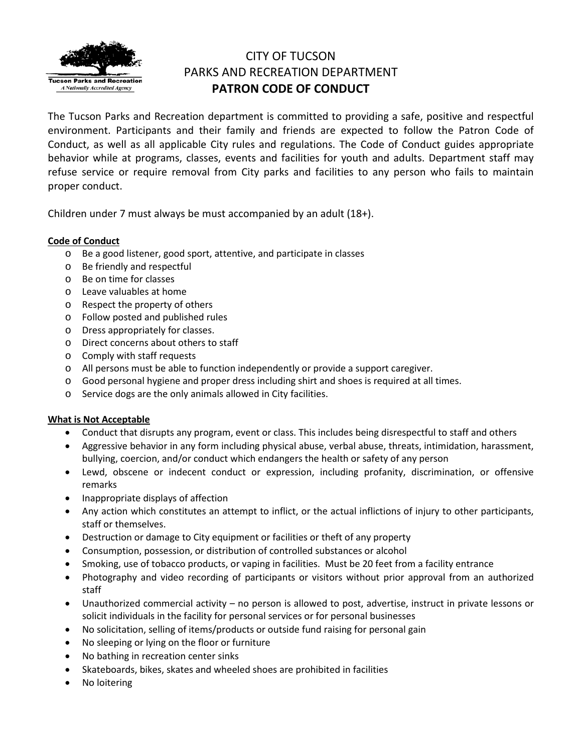

# CITY OF TUCSON PARKS AND RECREATION DEPARTMENT **PATRON CODE OF CONDUCT**

The Tucson Parks and Recreation department is committed to providing a safe, positive and respectful environment. Participants and their family and friends are expected to follow the Patron Code of Conduct, as well as all applicable City rules and regulations. The Code of Conduct guides appropriate behavior while at programs, classes, events and facilities for youth and adults. Department staff may refuse service or require removal from City parks and facilities to any person who fails to maintain proper conduct.

Children under 7 must always be must accompanied by an adult (18+).

## **Code of Conduct**

- o Be a good listener, good sport, attentive, and participate in classes
- o Be friendly and respectful
- o Be on time for classes
- o Leave valuables at home
- o Respect the property of others
- o Follow posted and published rules
- o Dress appropriately for classes.
- o Direct concerns about others to staff
- o Comply with staff requests
- o All persons must be able to function independently or provide a support caregiver.
- o Good personal hygiene and proper dress including shirt and shoes is required at all times.
- o Service dogs are the only animals allowed in City facilities.

## **What is Not Acceptable**

- Conduct that disrupts any program, event or class. This includes being disrespectful to staff and others
- Aggressive behavior in any form including physical abuse, verbal abuse, threats, intimidation, harassment, bullying, coercion, and/or conduct which endangers the health or safety of any person
- Lewd, obscene or indecent conduct or expression, including profanity, discrimination, or offensive remarks
- Inappropriate displays of affection
- Any action which constitutes an attempt to inflict, or the actual inflictions of injury to other participants, staff or themselves.
- Destruction or damage to City equipment or facilities or theft of any property
- Consumption, possession, or distribution of controlled substances or alcohol
- Smoking, use of tobacco products, or vaping in facilities. Must be 20 feet from a facility entrance
- Photography and video recording of participants or visitors without prior approval from an authorized staff
- Unauthorized commercial activity no person is allowed to post, advertise, instruct in private lessons or solicit individuals in the facility for personal services or for personal businesses
- No solicitation, selling of items/products or outside fund raising for personal gain
- No sleeping or lying on the floor or furniture
- No bathing in recreation center sinks
- Skateboards, bikes, skates and wheeled shoes are prohibited in facilities
- No loitering